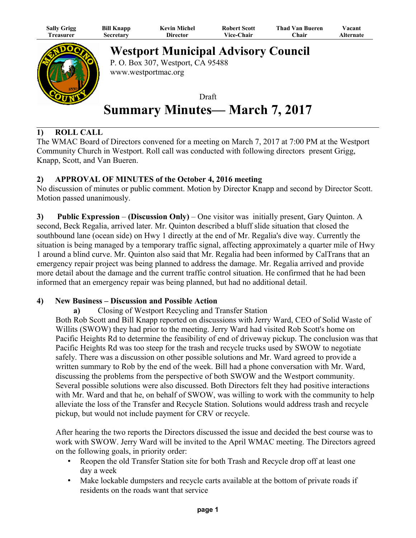| <b>Sally Grigg</b> | <b>Bill Knapp</b> | <b>Kevin Michel</b> | <b>Robert Scott</b> | <b>Thad Van Bueren</b> | $7$ acant |
|--------------------|-------------------|---------------------|---------------------|------------------------|-----------|
| l`reasurer         | Secretary         | Director            | <b>Vice-Chair</b>   | Chair                  | Alternate |



**Westport Municipal Advisory Council**

P. O. Box 307, Westport, CA 95488 www.westportmac.org

Draft **Summary Minutes— March 7, 2017**

# **1) ROLL CALL**

The WMAC Board of Directors convened for a meeting on March 7, 2017 at 7:00 PM at the Westport Community Church in Westport. Roll call was conducted with following directors present Grigg, Knapp, Scott, and Van Bueren.

## **2) APPROVAL OF MINUTES of the October 4, 2016 meeting**

No discussion of minutes or public comment. Motion by Director Knapp and second by Director Scott. Motion passed unanimously.

**3) Public Expression** – **(Discussion Only)** – One visitor was initially present, Gary Quinton. A second, Beck Regalia, arrived later. Mr. Quinton described a bluff slide situation that closed the southbound lane (ocean side) on Hwy 1 directly at the end of Mr. Regalia's dive way. Currently the situation is being managed by a temporary traffic signal, affecting approximately a quarter mile of Hwy 1 around a blind curve. Mr. Quinton also said that Mr. Regalia had been informed by CalTrans that an emergency repair project was being planned to address the damage. Mr. Regalia arrived and provide more detail about the damage and the current traffic control situation. He confirmed that he had been informed that an emergency repair was being planned, but had no additional detail.

## **4) New Business – Discussion and Possible Action**

**a)** Closing of Westport Recycling and Transfer Station

Both Rob Scott and Bill Knapp reported on discussions with Jerry Ward, CEO of Solid Waste of Willits (SWOW) they had prior to the meeting. Jerry Ward had visited Rob Scott's home on Pacific Heights Rd to determine the feasibility of end of driveway pickup. The conclusion was that Pacific Heights Rd was too steep for the trash and recycle trucks used by SWOW to negotiate safely. There was a discussion on other possible solutions and Mr. Ward agreed to provide a written summary to Rob by the end of the week. Bill had a phone conversation with Mr. Ward, discussing the problems from the perspective of both SWOW and the Westport community. Several possible solutions were also discussed. Both Directors felt they had positive interactions with Mr. Ward and that he, on behalf of SWOW, was willing to work with the community to help alleviate the loss of the Transfer and Recycle Station. Solutions would address trash and recycle pickup, but would not include payment for CRV or recycle.

After hearing the two reports the Directors discussed the issue and decided the best course was to work with SWOW. Jerry Ward will be invited to the April WMAC meeting. The Directors agreed on the following goals, in priority order:

- Reopen the old Transfer Station site for both Trash and Recycle drop off at least one day a week
- Make lockable dumpsters and recycle carts available at the bottom of private roads if residents on the roads want that service